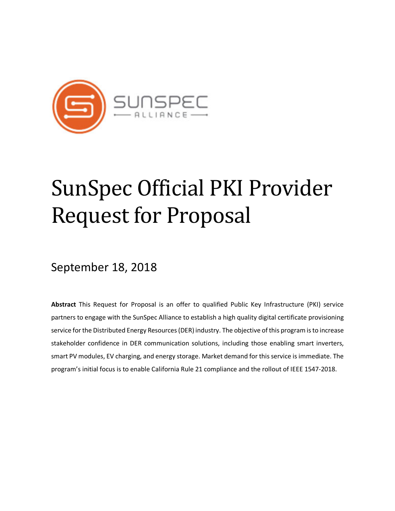

# SunSpec Official PKI Provider **Request for Proposal**

## September 18, 2018

**Abstract** This Request for Proposal is an offer to qualified Public Key Infrastructure (PKI) service partners to engage with the SunSpec Alliance to establish a high quality digital certificate provisioning service for the Distributed Energy Resources (DER) industry. The objective of this program is to increase stakeholder confidence in DER communication solutions, including those enabling smart inverters, smart PV modules, EV charging, and energy storage. Market demand for this service is immediate. The program's initial focus is to enable California Rule 21 compliance and the rollout of IEEE 1547-2018.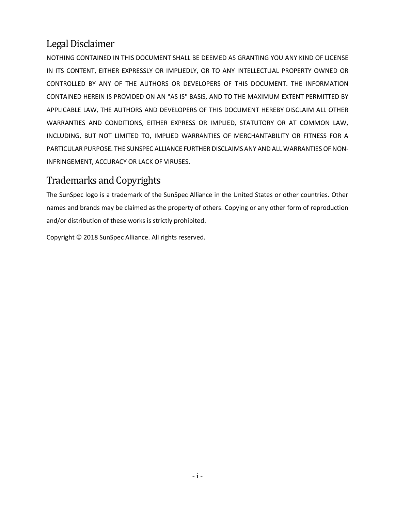## Legal Disclaimer

NOTHING CONTAINED IN THIS DOCUMENT SHALL BE DEEMED AS GRANTING YOU ANY KIND OF LICENSE IN ITS CONTENT, EITHER EXPRESSLY OR IMPLIEDLY, OR TO ANY INTELLECTUAL PROPERTY OWNED OR CONTROLLED BY ANY OF THE AUTHORS OR DEVELOPERS OF THIS DOCUMENT. THE INFORMATION CONTAINED HEREIN IS PROVIDED ON AN "AS IS" BASIS, AND TO THE MAXIMUM EXTENT PERMITTED BY APPLICABLE LAW, THE AUTHORS AND DEVELOPERS OF THIS DOCUMENT HEREBY DISCLAIM ALL OTHER WARRANTIES AND CONDITIONS, EITHER EXPRESS OR IMPLIED, STATUTORY OR AT COMMON LAW, INCLUDING, BUT NOT LIMITED TO, IMPLIED WARRANTIES OF MERCHANTABILITY OR FITNESS FOR A PARTICULAR PURPOSE. THE SUNSPEC ALLIANCE FURTHER DISCLAIMS ANY AND ALL WARRANTIES OF NON-INFRINGEMENT, ACCURACY OR LACK OF VIRUSES.

## Trademarks and Copyrights

The SunSpec logo is a trademark of the SunSpec Alliance in the United States or other countries. Other names and brands may be claimed as the property of others. Copying or any other form of reproduction and/or distribution of these works is strictly prohibited.

Copyright © 2018 SunSpec Alliance. All rights reserved.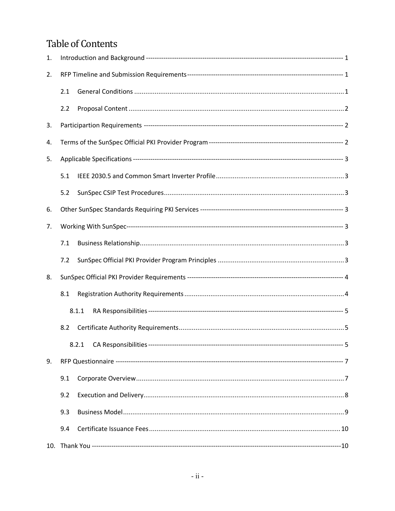## **Table of Contents**

| 1. |     |       |  |
|----|-----|-------|--|
| 2. |     |       |  |
|    | 2.1 |       |  |
|    | 2.2 |       |  |
| 3. |     |       |  |
| 4. |     |       |  |
| 5. |     |       |  |
|    | 5.1 |       |  |
|    | 5.2 |       |  |
| 6. |     |       |  |
| 7. |     |       |  |
|    | 7.1 |       |  |
|    | 7.2 |       |  |
| 8. |     |       |  |
|    | 8.1 |       |  |
|    |     | 8.1.1 |  |
|    | 8.2 |       |  |
|    |     |       |  |
| 9. |     |       |  |
|    | 9.1 |       |  |
|    | 9.2 |       |  |
|    | 9.3 |       |  |
|    | 9.4 |       |  |
|    |     |       |  |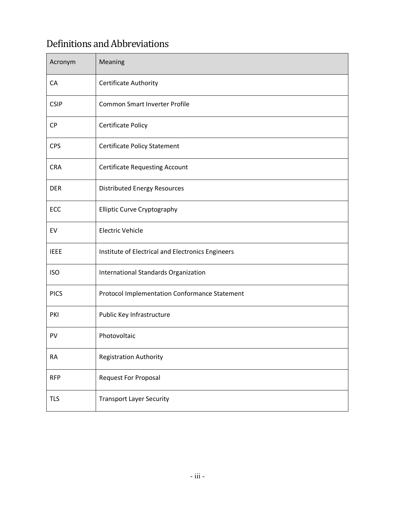## Definitions and Abbreviations

| Acronym     | Meaning                                           |
|-------------|---------------------------------------------------|
| CA          | Certificate Authority                             |
| <b>CSIP</b> | <b>Common Smart Inverter Profile</b>              |
| <b>CP</b>   | <b>Certificate Policy</b>                         |
| <b>CPS</b>  | <b>Certificate Policy Statement</b>               |
| <b>CRA</b>  | <b>Certificate Requesting Account</b>             |
| <b>DER</b>  | <b>Distributed Energy Resources</b>               |
| ECC         | <b>Elliptic Curve Cryptography</b>                |
| EV          | <b>Electric Vehicle</b>                           |
| <b>IEEE</b> | Institute of Electrical and Electronics Engineers |
| <b>ISO</b>  | International Standards Organization              |
| <b>PICS</b> | Protocol Implementation Conformance Statement     |
| PKI         | Public Key Infrastructure                         |
| PV          | Photovoltaic                                      |
| <b>RA</b>   | <b>Registration Authority</b>                     |
| <b>RFP</b>  | <b>Request For Proposal</b>                       |
| <b>TLS</b>  | <b>Transport Layer Security</b>                   |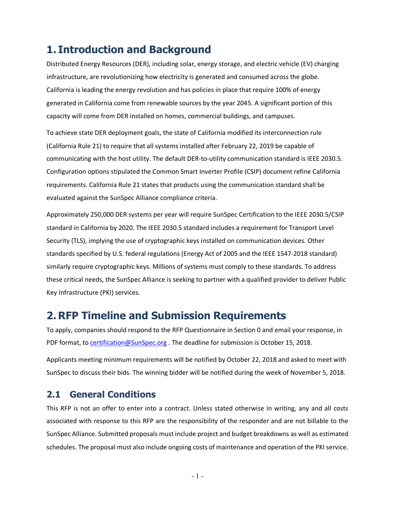## **1. Introduction and Background**

Distributed Energy Resources (DER), including solar, energy storage, and electric vehicle (EV) charging infrastructure, are revolutionizing how electricity is generated and consumed across the globe. California is leading the energy revolution and has policies in place that require 100% of energy generated in California come from renewable sources by the year 2045. A significant portion of this capacity will come from DER installed on homes, commercial buildings, and campuses.

To achieve state DER deployment goals, the state of California modified its interconnection rule (California Rule 21) to require that all systems installed after February 22, 2019 be capable of communicating with the host utility. The default DER-to-utility communication standard is IEEE 2030.5. Configuration options stipulated the Common Smart Inverter Profile (CSIP) document refine California requirements. California Rule 21 states that products using the communication standard shall be evaluated against the SunSpec Alliance compliance criteria.

Approximately 250,000 DER systems per year will require SunSpec Certification to the IEEE 2030.5/CSIP standard in California by 2020. The IEEE 2030.5 standard includes a requirement for Transport Level Security (TLS), implying the use of cryptographic keys installed on communication devices. Other standards specified by U.S. federal regulations (Energy Act of 2005 and the IEEE 1547-2018 standard) similarly require cryptographic keys. Millions of systems must comply to these standards. To address these critical needs, the SunSpec Alliance is seeking to partner with a qualified provider to deliver Public Key Infrastructure (PKI) services.

## **2. RFP Timeline and Submission Requirements**

To apply, companies should respond to the RFP Questionnaire in Section 0 and email your response, in PDF format, to certification@SunSpec.org . The deadline for submission is October 15, 2018.

Applicants meeting minimum requirements will be notified by October 22, 2018 and asked to meet with SunSpec to discuss their bids. The winning bidder will be notified during the week of November 5, 2018.

#### **2.1 General Conditions**

This RFP is not an offer to enter into a contract. Unless stated otherwise in writing, any and all costs associated with response to this RFP are the responsibility of the responder and are not billable to the SunSpec Alliance. Submitted proposals must include project and budget breakdowns as well as estimated schedules. The proposal must also include ongoing costs of maintenance and operation of the PKI service.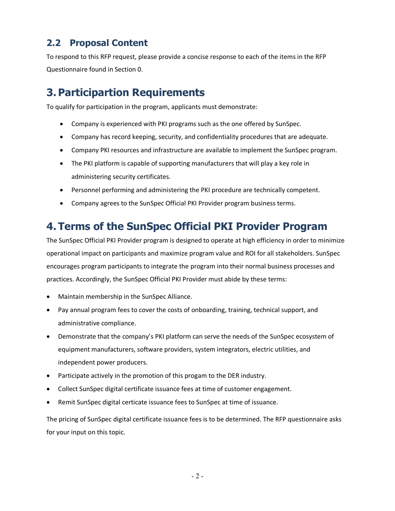## **2.2 Proposal Content**

To respond to this RFP request, please provide a concise response to each of the items in the RFP Questionnaire found in Section 0.

## **3. Participartion Requirements**

To qualify for participation in the program, applicants must demonstrate:

- Company is experienced with PKI programs such as the one offered by SunSpec.
- Company has record keeping, security, and confidentiality procedures that are adequate.
- Company PKI resources and infrastructure are available to implement the SunSpec program.
- The PKI platform is capable of supporting manufacturers that will play a key role in administering security certificates.
- Personnel performing and administering the PKI procedure are technically competent.
- Company agrees to the SunSpec Official PKI Provider program business terms.

## **4. Terms of the SunSpec Official PKI Provider Program**

The SunSpec Official PKI Provider program is designed to operate at high efficiency in order to minimize operational impact on participants and maximize program value and ROI for all stakeholders. SunSpec encourages program participants to integrate the program into their normal business processes and practices. Accordingly, the SunSpec Official PKI Provider must abide by these terms:

- Maintain membership in the SunSpec Alliance.
- Pay annual program fees to cover the costs of onboarding, training, technical support, and administrative compliance.
- Demonstrate that the company's PKI platform can serve the needs of the SunSpec ecosystem of equipment manufacturers, software providers, system integrators, electric utilities, and independent power producers.
- Participate actively in the promotion of this progam to the DER industry.
- Collect SunSpec digital certificate issuance fees at time of customer engagement.
- Remit SunSpec digital certicate issuance fees to SunSpec at time of issuance.

The pricing of SunSpec digital certificate issuance fees is to be determined. The RFP questionnaire asks for your input on this topic.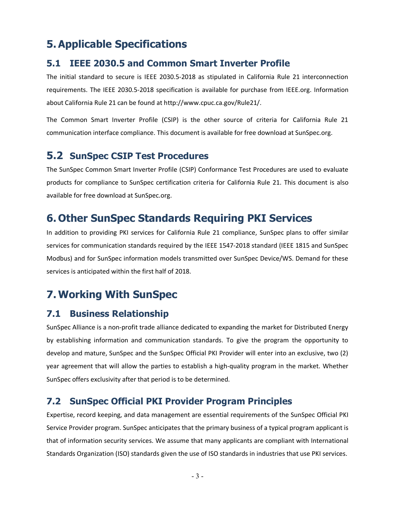## **5.Applicable Specifications**

#### **5.1 IEEE 2030.5 and Common Smart Inverter Profile**

The initial standard to secure is IEEE 2030.5-2018 as stipulated in California Rule 21 interconnection requirements. The IEEE 2030.5-2018 specification is available for purchase from IEEE.org. Information about California Rule 21 can be found at http://www.cpuc.ca.gov/Rule21/.

The Common Smart Inverter Profile (CSIP) is the other source of criteria for California Rule 21 communication interface compliance. This document is available for free download at SunSpec.org.

#### **5.2 SunSpec CSIP Test Procedures**

The SunSpec Common Smart Inverter Profile (CSIP) Conformance Test Procedures are used to evaluate products for compliance to SunSpec certification criteria for California Rule 21. This document is also available for free download at SunSpec.org.

## **6. Other SunSpec Standards Requiring PKI Services**

In addition to providing PKI services for California Rule 21 compliance, SunSpec plans to offer similar services for communication standards required by the IEEE 1547-2018 standard (IEEE 1815 and SunSpec Modbus) and for SunSpec information models transmitted over SunSpec Device/WS. Demand for these services is anticipated within the first half of 2018.

## **7.Working With SunSpec**

#### **7.1 Business Relationship**

SunSpec Alliance is a non-profit trade alliance dedicated to expanding the market for Distributed Energy by establishing information and communication standards. To give the program the opportunity to develop and mature, SunSpec and the SunSpec Official PKI Provider will enter into an exclusive, two (2) year agreement that will allow the parties to establish a high-quality program in the market. Whether SunSpec offers exclusivity after that period is to be determined.

#### **7.2 SunSpec Official PKI Provider Program Principles**

Expertise, record keeping, and data management are essential requirements of the SunSpec Official PKI Service Provider program. SunSpec anticipates that the primary business of a typical program applicant is that of information security services. We assume that many applicants are compliant with International Standards Organization (ISO) standards given the use of ISO standards in industries that use PKI services.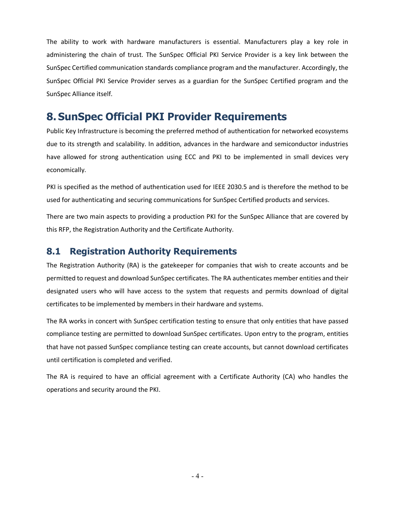The ability to work with hardware manufacturers is essential. Manufacturers play a key role in administering the chain of trust. The SunSpec Official PKI Service Provider is a key link between the SunSpec Certified communication standards compliance program and the manufacturer. Accordingly, the SunSpec Official PKI Service Provider serves as a guardian for the SunSpec Certified program and the SunSpec Alliance itself.

### **8. SunSpec Official PKI Provider Requirements**

Public Key Infrastructure is becoming the preferred method of authentication for networked ecosystems due to its strength and scalability. In addition, advances in the hardware and semiconductor industries have allowed for strong authentication using ECC and PKI to be implemented in small devices very economically.

PKI is specified as the method of authentication used for IEEE 2030.5 and is therefore the method to be used for authenticating and securing communications for SunSpec Certified products and services.

There are two main aspects to providing a production PKI for the SunSpec Alliance that are covered by this RFP, the Registration Authority and the Certificate Authority.

#### **8.1 Registration Authority Requirements**

The Registration Authority (RA) is the gatekeeper for companies that wish to create accounts and be permitted to request and download SunSpec certificates. The RA authenticates member entities and their designated users who will have access to the system that requests and permits download of digital certificates to be implemented by members in their hardware and systems.

The RA works in concert with SunSpec certification testing to ensure that only entities that have passed compliance testing are permitted to download SunSpec certificates. Upon entry to the program, entities that have not passed SunSpec compliance testing can create accounts, but cannot download certificates until certification is completed and verified.

The RA is required to have an official agreement with a Certificate Authority (CA) who handles the operations and security around the PKI.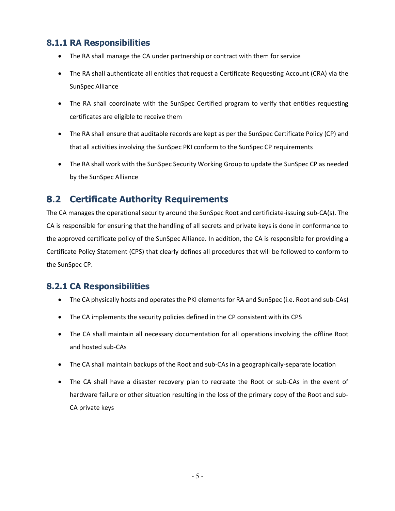#### **8.1.1 RA Responsibilities**

- The RA shall manage the CA under partnership or contract with them for service
- The RA shall authenticate all entities that request a Certificate Requesting Account (CRA) via the SunSpec Alliance
- The RA shall coordinate with the SunSpec Certified program to verify that entities requesting certificates are eligible to receive them
- The RA shall ensure that auditable records are kept as per the SunSpec Certificate Policy (CP) and that all activities involving the SunSpec PKI conform to the SunSpec CP requirements
- The RA shall work with the SunSpec Security Working Group to update the SunSpec CP as needed by the SunSpec Alliance

#### **8.2 Certificate Authority Requirements**

The CA manages the operational security around the SunSpec Root and certificiate-issuing sub-CA(s). The CA is responsible for ensuring that the handling of all secrets and private keys is done in conformance to the approved certificate policy of the SunSpec Alliance. In addition, the CA is responsible for providing a Certificate Policy Statement (CPS) that clearly defines all procedures that will be followed to conform to the SunSpec CP.

#### **8.2.1 CA Responsibilities**

- The CA physically hosts and operates the PKI elements for RA and SunSpec (i.e. Root and sub-CAs)
- The CA implements the security policies defined in the CP consistent with its CPS
- The CA shall maintain all necessary documentation for all operations involving the offline Root and hosted sub-CAs
- The CA shall maintain backups of the Root and sub-CAs in a geographically-separate location
- The CA shall have a disaster recovery plan to recreate the Root or sub-CAs in the event of hardware failure or other situation resulting in the loss of the primary copy of the Root and sub-CA private keys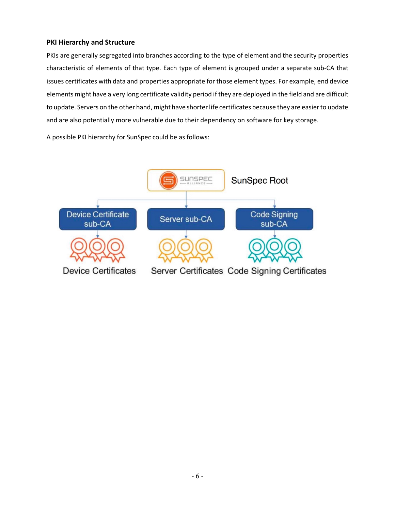#### **PKI Hierarchy and Structure**

PKIs are generally segregated into branches according to the type of element and the security properties characteristic of elements of that type. Each type of element is grouped under a separate sub-CA that issues certificates with data and properties appropriate for those element types. For example, end device elements might have a very long certificate validity period if they are deployed in the field and are difficult to update. Servers on the other hand, might have shorter life certificates because they are easier to update and are also potentially more vulnerable due to their dependency on software for key storage.

A possible PKI hierarchy for SunSpec could be as follows:

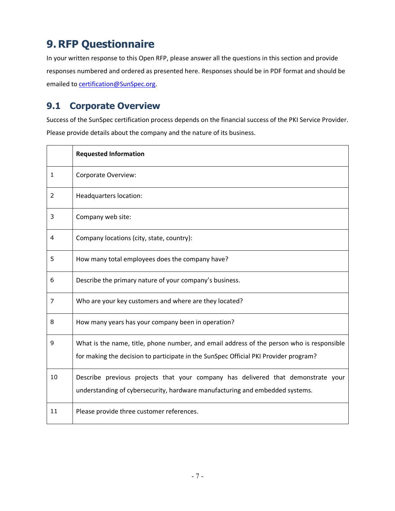## **9. RFP Questionnaire**

In your written response to this Open RFP, please answer all the questions in this section and provide responses numbered and ordered as presented here. Responses should be in PDF format and should be emailed to **certification@SunSpec.org**.

#### **9.1 Corporate Overview**

Success of the SunSpec certification process depends on the financial success of the PKI Service Provider. Please provide details about the company and the nature of its business.

|                | <b>Requested Information</b>                                                                                                                                                      |
|----------------|-----------------------------------------------------------------------------------------------------------------------------------------------------------------------------------|
| $\mathbf{1}$   | Corporate Overview:                                                                                                                                                               |
| 2              | Headquarters location:                                                                                                                                                            |
| 3              | Company web site:                                                                                                                                                                 |
| $\overline{4}$ | Company locations (city, state, country):                                                                                                                                         |
| 5              | How many total employees does the company have?                                                                                                                                   |
| 6              | Describe the primary nature of your company's business.                                                                                                                           |
| 7              | Who are your key customers and where are they located?                                                                                                                            |
| 8              | How many years has your company been in operation?                                                                                                                                |
| 9              | What is the name, title, phone number, and email address of the person who is responsible<br>for making the decision to participate in the SunSpec Official PKI Provider program? |
| 10             | Describe previous projects that your company has delivered that demonstrate your<br>understanding of cybersecurity, hardware manufacturing and embedded systems.                  |
| 11             | Please provide three customer references.                                                                                                                                         |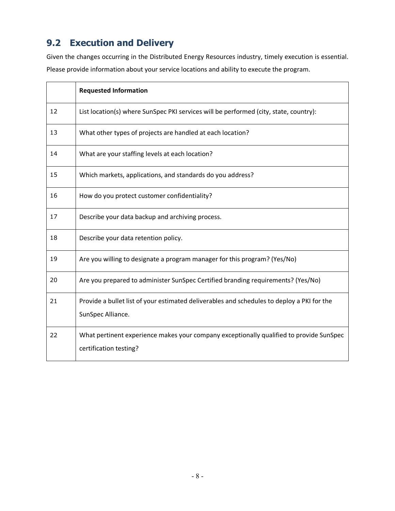## **9.2 Execution and Delivery**

Given the changes occurring in the Distributed Energy Resources industry, timely execution is essential. Please provide information about your service locations and ability to execute the program.

|    | <b>Requested Information</b>                                                                                      |
|----|-------------------------------------------------------------------------------------------------------------------|
| 12 | List location(s) where SunSpec PKI services will be performed (city, state, country):                             |
| 13 | What other types of projects are handled at each location?                                                        |
| 14 | What are your staffing levels at each location?                                                                   |
| 15 | Which markets, applications, and standards do you address?                                                        |
| 16 | How do you protect customer confidentiality?                                                                      |
| 17 | Describe your data backup and archiving process.                                                                  |
| 18 | Describe your data retention policy.                                                                              |
| 19 | Are you willing to designate a program manager for this program? (Yes/No)                                         |
| 20 | Are you prepared to administer SunSpec Certified branding requirements? (Yes/No)                                  |
| 21 | Provide a bullet list of your estimated deliverables and schedules to deploy a PKI for the<br>SunSpec Alliance.   |
| 22 | What pertinent experience makes your company exceptionally qualified to provide SunSpec<br>certification testing? |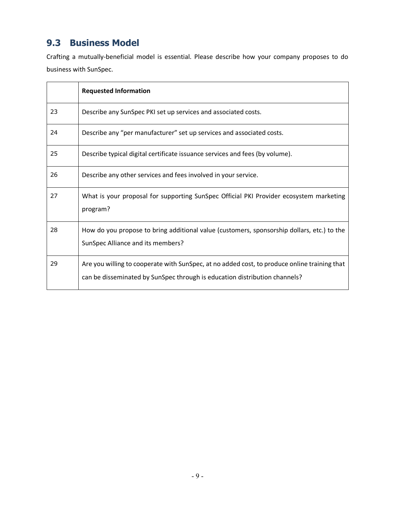### **9.3 Business Model**

Crafting a mutually-beneficial model is essential. Please describe how your company proposes to do business with SunSpec.

|    | <b>Requested Information</b>                                                                                                                                               |
|----|----------------------------------------------------------------------------------------------------------------------------------------------------------------------------|
| 23 | Describe any SunSpec PKI set up services and associated costs.                                                                                                             |
| 24 | Describe any "per manufacturer" set up services and associated costs.                                                                                                      |
| 25 | Describe typical digital certificate issuance services and fees (by volume).                                                                                               |
| 26 | Describe any other services and fees involved in your service.                                                                                                             |
| 27 | What is your proposal for supporting SunSpec Official PKI Provider ecosystem marketing<br>program?                                                                         |
| 28 | How do you propose to bring additional value (customers, sponsorship dollars, etc.) to the<br>SunSpec Alliance and its members?                                            |
| 29 | Are you willing to cooperate with SunSpec, at no added cost, to produce online training that<br>can be disseminated by SunSpec through is education distribution channels? |